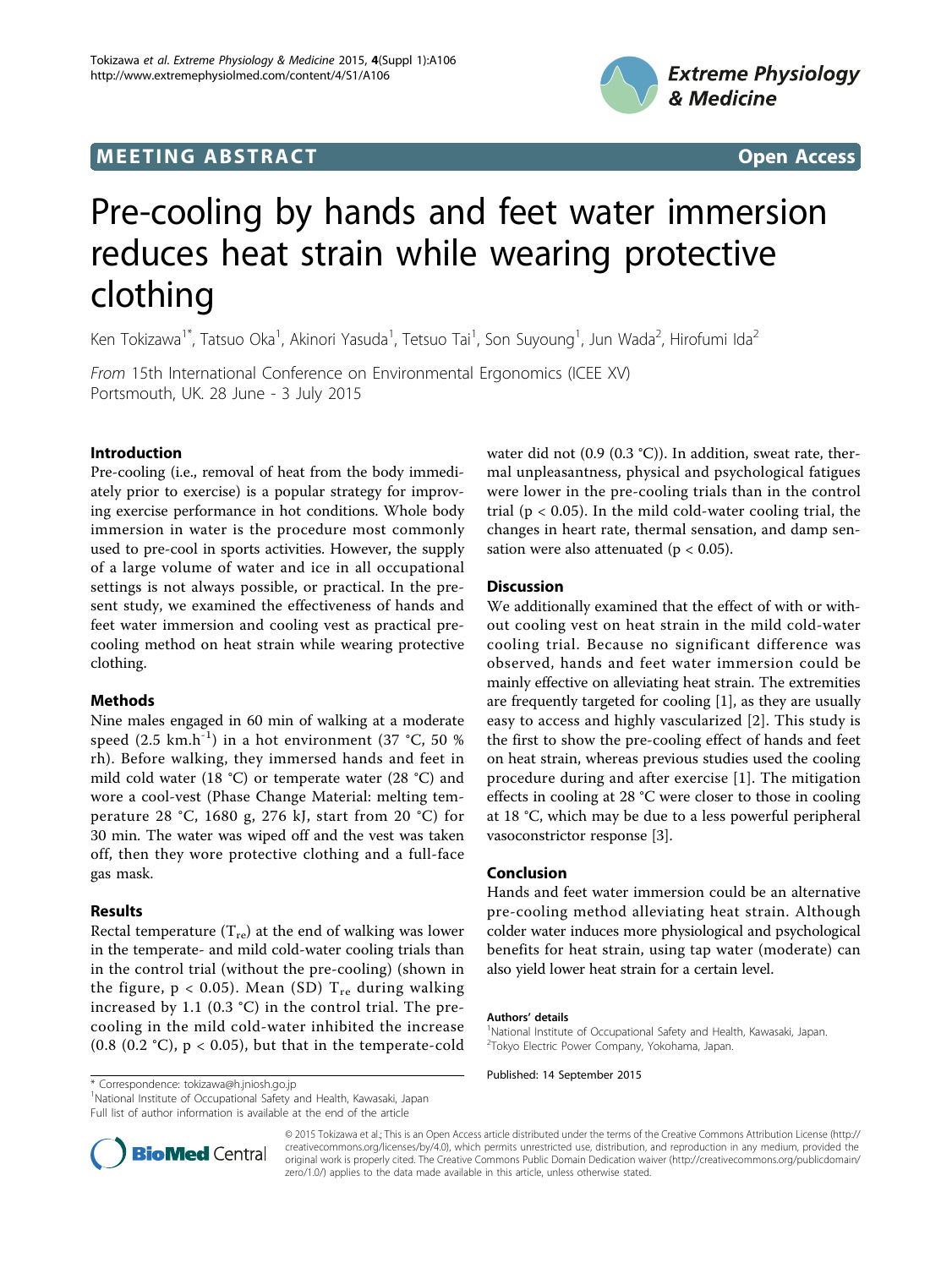# **MEETING ABSTRACT ACCESS**



# Pre-cooling by hands and feet water immersion reduces heat strain while wearing protective clothing

Ken Tokizawa<sup>1\*</sup>, Tatsuo Oka<sup>1</sup>, Akinori Yasuda<sup>1</sup>, Tetsuo Tai<sup>1</sup>, Son Suyoung<sup>1</sup>, Jun Wada<sup>2</sup>, Hirofumi Ida<sup>2</sup>

From 15th International Conference on Environmental Ergonomics (ICEE XV) Portsmouth, UK. 28 June - 3 July 2015

### Introduction

Pre-cooling (i.e., removal of heat from the body immediately prior to exercise) is a popular strategy for improving exercise performance in hot conditions. Whole body immersion in water is the procedure most commonly used to pre-cool in sports activities. However, the supply of a large volume of water and ice in all occupational settings is not always possible, or practical. In the present study, we examined the effectiveness of hands and feet water immersion and cooling vest as practical precooling method on heat strain while wearing protective clothing.

# Methods

Nine males engaged in 60 min of walking at a moderate speed  $(2.5 \text{ km.h}^{-1})$  in a hot environment  $(37 \text{ °C}, 50 \text{ %}$ rh). Before walking, they immersed hands and feet in mild cold water (18 °C) or temperate water (28 °C) and wore a cool-vest (Phase Change Material: melting temperature 28 °C, 1680 g, 276 kJ, start from 20 °C) for 30 min. The water was wiped off and the vest was taken off, then they wore protective clothing and a full-face gas mask.

# Results

Rectal temperature  $(T_{re})$  at the end of walking was lower in the temperate- and mild cold-water cooling trials than in the control trial (without the pre-cooling) (shown in the figure,  $p < 0.05$ ). Mean (SD)  $T_{re}$  during walking increased by 1.1 (0.3 °C) in the control trial. The precooling in the mild cold-water inhibited the increase (0.8 (0.2 °C),  $p < 0.05$ ), but that in the temperate-cold water did not (0.9 (0.3 °C)). In addition, sweat rate, thermal unpleasantness, physical and psychological fatigues were lower in the pre-cooling trials than in the control trial ( $p < 0.05$ ). In the mild cold-water cooling trial, the changes in heart rate, thermal sensation, and damp sensation were also attenuated ( $p < 0.05$ ).

### **Discussion**

We additionally examined that the effect of with or without cooling vest on heat strain in the mild cold-water cooling trial. Because no significant difference was observed, hands and feet water immersion could be mainly effective on alleviating heat strain. The extremities are frequently targeted for cooling [[1\]](#page-1-0), as they are usually easy to access and highly vascularized [[2](#page-1-0)]. This study is the first to show the pre-cooling effect of hands and feet on heat strain, whereas previous studies used the cooling procedure during and after exercise [[1](#page-1-0)]. The mitigation effects in cooling at 28 °C were closer to those in cooling at 18 °C, which may be due to a less powerful peripheral vasoconstrictor response [[3\]](#page-1-0).

#### Conclusion

Hands and feet water immersion could be an alternative pre-cooling method alleviating heat strain. Although colder water induces more physiological and psychological benefits for heat strain, using tap water (moderate) can also yield lower heat strain for a certain level.

#### Authors' details <sup>1</sup>

Published: 14 September 2015 \* Correspondence: [tokizawa@h.jniosh.go.jp](mailto:tokizawa@h.jniosh.go.jp)

<sup>1</sup>National Institute of Occupational Safety and Health, Kawasaki, Japan Full list of author information is available at the end of the article



© 2015 Tokizawa et al.; This is an Open Access article distributed under the terms of the Creative Commons Attribution License [\(http://](http://creativecommons.org/licenses/by/4.0) [creativecommons.org/licenses/by/4.0](http://creativecommons.org/licenses/by/4.0)), which permits unrestricted use, distribution, and reproduction in any medium, provided the original work is properly cited. The Creative Commons Public Domain Dedication waiver ([http://creativecommons.org/publicdomain/](http://creativecommons.org/publicdomain/zero/1.0/) [zero/1.0/](http://creativecommons.org/publicdomain/zero/1.0/)) applies to the data made available in this article, unless otherwise stated.

<sup>&</sup>lt;sup>1</sup>National Institute of Occupational Safety and Health, Kawasaki, Japan. 2 Tokyo Electric Power Company, Yokohama, Japan.